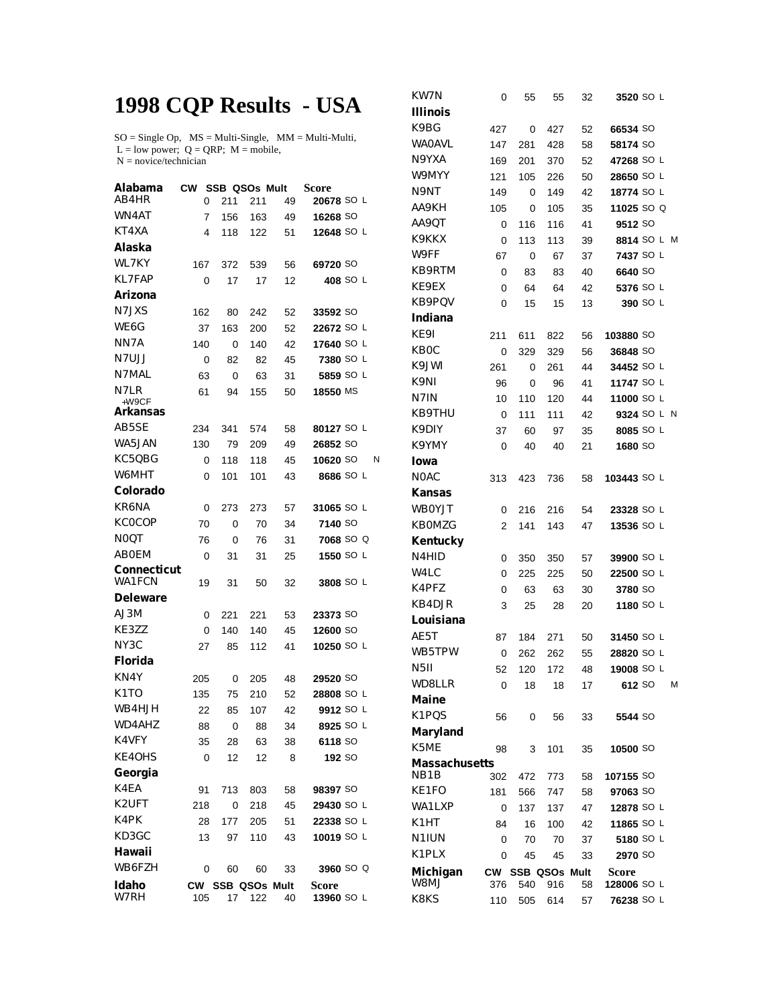## **1998 CQP Results - USA**

 $SO = Single Op$ ,  $MS = Multi-Single$ ,  $MM = Multi-Multi$ ,  $L = low power$ ;  $Q = QRP$ ;  $M = mobile$ ,  $N =$  novice/technician

| Alabama<br>AB4HR      | <b>CW</b> |               | <b>SSB QSOs Mult</b>        |          | Score                  |
|-----------------------|-----------|---------------|-----------------------------|----------|------------------------|
| WN4AT                 |           | 211<br>0<br>7 | 211                         | 49       | 20678 SO L             |
| KT4XA                 |           | 156           | 163                         | 49       | 16268 SO<br>12648 SO L |
| Alaska                |           | 4<br>118      | 122                         | 51       |                        |
| WL7KY                 |           | 372           | 539                         |          | 69720 SO               |
| KL7FAP                | 167       | 0<br>17       | 17                          | 56<br>12 | 408 SO L               |
| Arizona               |           |               |                             |          |                        |
| N7JXS                 |           |               |                             |          | 33592 SO               |
| WE6G                  | 162<br>37 | 80<br>163     | 242<br>200                  | 52<br>52 | 22672 SO L             |
| NN7A                  | 140       | 0             | 140                         | 42       | 17640 SO L             |
| N7UJJ                 |           | 82<br>0       | 82                          | 45       | 7380 SO L              |
| N7MAL                 | 63        | 0             | 63                          | 31       | 5859 SO L              |
| N7LR                  | 61        | 94            | 155                         | 50       | 18550 MS               |
| +W9CF                 |           |               |                             |          |                        |
| Arkansas              |           |               |                             |          |                        |
| AB5SE                 | 234       | 341           | 574                         | 58       | 80127 SO L             |
| WA5JAN                | 130       | 79            | 209                         | 49       | 26852 SO               |
| KC5QBG                |           | 118<br>0      | 118                         | 45       | 10620 SO<br>N          |
| W6MHT                 |           | 101<br>0      | 101                         | 43       | 8686 SO L              |
| Colorado              |           |               |                             |          |                        |
| KR6NA                 |           | 0<br>273      | 273                         | 57       | 31065 SO L             |
| <b>KCOCOP</b>         | 70        | 0             | 70                          | 34       | 7140 SO                |
| NOQT                  | 76        | 0             | 76                          | 31       | 7068 SO Q              |
| ABOEM                 |           | 31<br>0       | 31                          | 25       | 1550 SO L              |
| Connecticut<br>WA1FCN | 19        | 31            | 50                          | 32       | 3808 SO L              |
| <b>Deleware</b>       |           |               |                             |          |                        |
| AJ3M                  |           | 221<br>0      | 221                         | 53       | 23373 SO               |
| KE3ZZ                 |           | 140<br>0      | 140                         | 45       | 12600 SO               |
| NY3C                  | 27        | 85            | 112                         | 41       | 10250 SO L             |
| Florida               |           |               |                             |          |                        |
| KN4Y                  | 205       | 0             | 205                         | 48       | 29520 SO               |
| K <sub>1</sub> TO     | 135       | 75            | 210                         | 52       | 28808 SO L             |
| WB4HJH                | 22        | 85            | 107                         | 42       | 9912 SO L              |
| WD4AHZ                | 88        | 0             | 88                          | 34       | 8925 SO L              |
| K4VFY                 | 35        | 28            | 63                          | 38       | 6118 SO                |
| KE4OHS                |           | 0<br>12       | 12                          | 8        | 192 SO                 |
| Georgia               |           |               |                             |          |                        |
| K4EA                  | 91        | 713           | 803                         | 58       | 98397 SO               |
| K2UFT                 | 218       | 0             | 218                         | 45       | 29430 SO L             |
| K4PK                  | 28        | 177           | 205                         | 51       | 22338 SO L             |
| KD3GC                 | 13        | 97            | 110                         | 43       | 10019 SO L             |
| Hawaii                |           |               |                             |          |                        |
| WB6FZH                |           | 0<br>60       | 60                          | 33       | 3960 SO Q              |
| Idaho<br>W7RH         | CW<br>105 | 17            | <b>SSB QSOs Mult</b><br>122 | 40       | Score<br>13960 SO L    |

| KW7N              | 0   | 55                   | 55  | 32 | 3520 SO L   |  |   |
|-------------------|-----|----------------------|-----|----|-------------|--|---|
| Illinois          |     |                      |     |    |             |  |   |
| K9BG              | 427 | 0                    | 427 | 52 | 66534 SO    |  |   |
| <b>WAOAVL</b>     | 147 | 281                  | 428 | 58 | 58174 SO    |  |   |
| N9YXA             | 169 | 201                  | 370 | 52 | 47268 SO L  |  |   |
| W9MYY             | 121 | 105                  | 226 | 50 | 28650 SO L  |  |   |
| N9NT              | 149 | 0                    | 149 | 42 | 18774 SO L  |  |   |
| AA9KH             | 105 | 0                    | 105 | 35 | 11025 SO Q  |  |   |
| AA9QT             | 0   | 116                  | 116 | 41 | 9512 SO     |  |   |
| K9KKX             | 0   | 113                  | 113 | 39 | 8814 SO L M |  |   |
| W9FF              | 67  | 0                    | 67  | 37 | 7437 SO L   |  |   |
| KB9RTM            | 0   | 83                   | 83  | 40 | 6640 SO     |  |   |
| KE9EX             | 0   | 64                   | 64  | 42 | 5376 SO L   |  |   |
| KB9PQV            | 0   | 15                   | 15  | 13 | 390 SO L    |  |   |
| Indiana           |     |                      |     |    |             |  |   |
| KE9I              | 211 | 611                  | 822 | 56 | 103880 SO   |  |   |
| <b>KBOC</b>       | 0   | 329                  | 329 | 56 | 36848 SO    |  |   |
| K9JWI             | 261 | 0                    | 261 | 44 | 34452 SO L  |  |   |
| K9NI              | 96  | 0                    | 96  | 41 | 11747 SO L  |  |   |
| N7IN              | 10  | 110                  | 120 | 44 | 11000 SO L  |  |   |
| KB9THU            | 0   | 111                  | 111 | 42 | 9324 SO L N |  |   |
| K9DIY             | 37  | 60                   | 97  | 35 | 8085 SO L   |  |   |
| K9YMY             | 0   | 40                   | 40  | 21 | 1680 SO     |  |   |
| Iowa              |     |                      |     |    |             |  |   |
| NOAC              | 313 | 423                  | 736 | 58 | 103443 SO L |  |   |
| Kansas            |     |                      |     |    |             |  |   |
| <b>WBOYJT</b>     | 0   | 216                  | 216 | 54 | 23328 SO L  |  |   |
| <b>KBOMZG</b>     | 2   | 141                  | 143 | 47 | 13536 SO L  |  |   |
| Kentucky          |     |                      |     |    |             |  |   |
| N4HID             | 0   | 350                  | 350 | 57 | 39900 SO L  |  |   |
| W4LC              | 0   | 225                  | 225 | 50 | 22500 SO L  |  |   |
| K4PFZ             | 0   | 63                   | 63  | 30 | 3780 SO     |  |   |
| KB4DJR            | 3   | 25                   | 28  | 20 | 1180 SO L   |  |   |
| Louisiana         |     |                      |     |    |             |  |   |
| AE5T              | 87  | 184                  | 271 | 50 | 31450 SO L  |  |   |
| WB5TPW            | 0   | 262                  | 262 | 55 | 28820 SO L  |  |   |
| N <sub>5</sub> II | 52  | 120                  | 172 | 48 | 19008 SO L  |  |   |
| WD8LLR            | 0   | 18                   | 18  | 17 | 612 SO      |  | M |
| Maine             |     |                      |     |    |             |  |   |
| K1PQS             | 56  | 0                    | 56  | 33 | 5544 SO     |  |   |
| Maryland          |     |                      |     |    |             |  |   |
| K5ME              | 98  | 3                    | 101 | 35 | 10500 SO    |  |   |
| Massachusetts     |     |                      |     |    |             |  |   |
| NB1B              | 302 | 472                  | 773 | 58 | 107155 SO   |  |   |
| KE1FO             | 181 | 566                  | 747 | 58 | 97063 SO    |  |   |
| WA1LXP            | 0   | 137                  | 137 | 47 | 12878 SO L  |  |   |
| K1HT              | 84  | 16                   | 100 | 42 | 11865 SO L  |  |   |
| N1IUN             | 0   | 70                   | 70  | 37 | 5180 SO L   |  |   |
| K1PLX             | 0   | 45                   | 45  | 33 | 2970 SO     |  |   |
| Michigan          | CW∣ | <b>SSB QSOs Mult</b> |     |    | Score       |  |   |
| LM8W              | 376 | 540                  | 916 | 58 | 128006 SO L |  |   |
| K8KS              | 110 | 505                  | 614 | 57 | 76238 SO L  |  |   |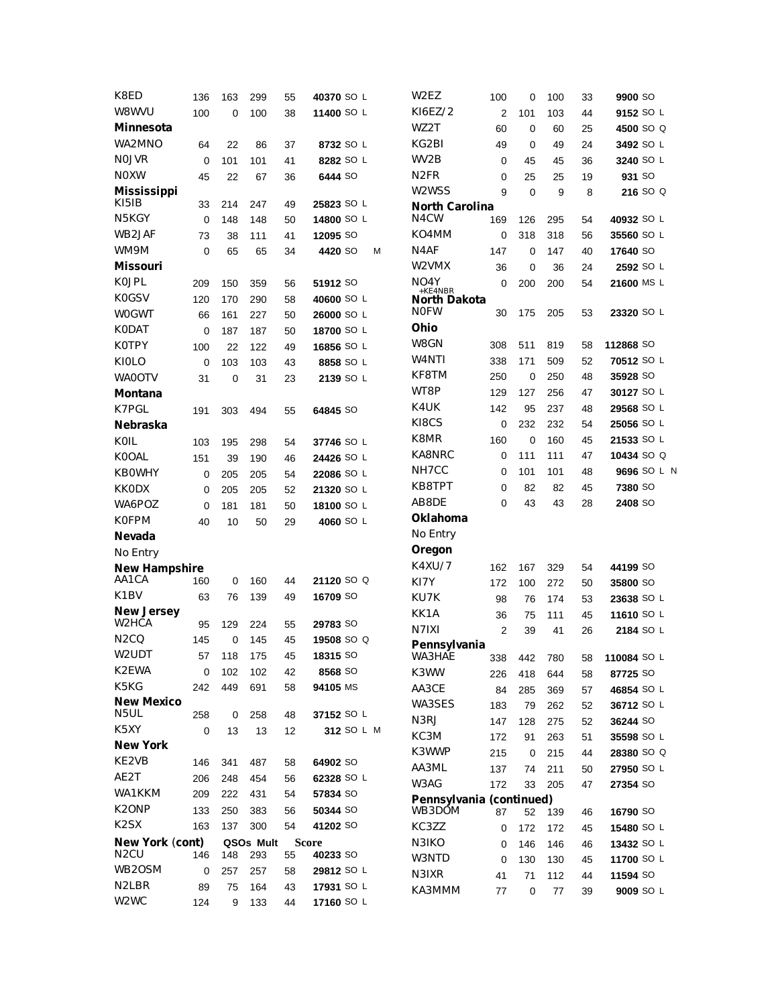| K8ED                                 | 136         | 163 | 299       | 55 | 40370 SO L   | W2EZ                     | 100            | 0           | 100 | 33 | 9900 SO        |
|--------------------------------------|-------------|-----|-----------|----|--------------|--------------------------|----------------|-------------|-----|----|----------------|
| W8WVU                                | 100         | 0   | 100       | 38 | 11400 SO L   | KI6EZ/2                  | 2              | 101         | 103 | 44 | 9152 SO L      |
| Minnesota                            |             |     |           |    |              | WZ2T                     | 60             | 0           | 60  | 25 | 4500 SO Q      |
| WA2MNO                               | 64          | 22  | 86        | 37 | 8732 SO L    | KG2BI                    | 49             | 0           | 49  | 24 | 3492 SO L      |
| <b>NOJVR</b>                         | 0           | 101 | 101       | 41 | 8282 SO L    | WV2B                     | 0              | 45          | 45  | 36 | 3240 SO L      |
| <b>NOXW</b>                          | 45          | 22  | 67        | 36 | 6444 SO      | N <sub>2FR</sub>         | 0              | 25          | 25  | 19 | 931 SO         |
| <b>Mississippi</b>                   |             |     |           |    |              | W2WSS                    | 9              | $\Omega$    | 9   | 8  | 216 SO Q       |
| KI5IB                                | 33          | 214 | 247       | 49 | 25823 SO L   | <b>North Carolina</b>    |                |             |     |    |                |
| N5KGY                                | $\mathbf 0$ | 148 | 148       | 50 | 14800 SO L   | N <sub>4</sub> CW        | 169            | 126         | 295 | 54 | 40932 SO L     |
| WB2JAF                               | 73          | 38  | 111       | 41 | 12095 SO     | KO4MM                    | 0              | 318         | 318 | 56 | 35560 SO L     |
| WM9M                                 | $\mathbf 0$ | 65  | 65        | 34 | 4420 SO<br>М | N4AF                     | 147            | 0           | 147 | 40 | 17640 SO       |
| <b>Missouri</b>                      |             |     |           |    |              | W2VMX                    | 36             | 0           | 36  | 24 | 2592 SO L      |
| <b>KOJPL</b>                         | 209         | 150 | 359       | 56 | 51912 SO     | NO <sub>4</sub> Y        | 0              | 200         | 200 | 54 | 21600 MS L     |
| <b>KOGSV</b>                         | 120         | 170 | 290       | 58 | 40600 SO L   | +KE4NBR<br>North Dakota  |                |             |     |    |                |
| <b>WOGWT</b>                         | 66          | 161 | 227       | 50 | 26000 SO L   | <b>NOFW</b>              | 30             | 175         | 205 | 53 | 23320 SO L     |
| <b>KODAT</b>                         | 0           | 187 | 187       | 50 | 18700 SO L   | Ohio                     |                |             |     |    |                |
| <b>KOTPY</b>                         | 100         | 22  | 122       | 49 | 16856 SO L   | W8GN                     | 308            | 511         | 819 | 58 | 112868 SO      |
| KIOLO                                | 0           | 103 | 103       | 43 | 8858 SO L    | W4NTI                    | 338            | 171         | 509 | 52 | 70512 SO L     |
| <b>WAOOTV</b>                        | 31          | 0   | 31        | 23 | 2139 SO L    | KF8TM                    | 250            | 0           | 250 | 48 | 35928 SO       |
| Montana                              |             |     |           |    |              | WT8P                     | 129            | 127         | 256 | 47 | 30127 SO L     |
| K7PGL                                | 191         | 303 | 494       | 55 | 64845 SO     | K4UK                     | 142            | 95          | 237 | 48 | 29568 SO L     |
| Nebraska                             |             |     |           |    |              | KI8CS                    | 0              | 232         | 232 | 54 | 25056 SO L     |
| KOIL                                 | 103         | 195 | 298       | 54 | 37746 SO L   | K8MR                     | 160            | $\mathbf 0$ | 160 | 45 | 21533 SO L     |
| <b>KOOAL</b>                         | 151         | 39  | 190       | 46 | 24426 SO L   | KA8NRC                   | 0              | 111         | 111 | 47 | 10434 SO Q     |
| <b>KBOWHY</b>                        | 0           | 205 | 205       | 54 | 22086 SO L   | NH <sub>7</sub> CC       | 0              | 101         | 101 | 48 | 9696 SO L N    |
| <b>KKODX</b>                         | 0           | 205 | 205       | 52 | 21320 SO L   | KB8TPT                   | 0              | 82          | 82  | 45 | 7380 SO        |
| WA6POZ                               | 0           | 181 | 181       | 50 | 18100 SO L   | AB8DE                    | 0              | 43          | 43  | 28 | 2408 SO        |
| <b>KOFPM</b>                         | 40          | 10  | 50        | 29 | 4060 SO L    | <b>Oklahoma</b>          |                |             |     |    |                |
| Nevada                               |             |     |           |    |              | No Entry                 |                |             |     |    |                |
| No Entry                             |             |     |           |    |              | Oregon                   |                |             |     |    |                |
| <b>New Hampshire</b>                 |             |     |           |    |              | K4XU/7                   | 162            | 167         | 329 | 54 | 44199 SO       |
| AA1CA                                | 160         | 0   | 160       | 44 | 21120 SO Q   | KI7Y                     | 172            | 100         | 272 | 50 | 35800 SO       |
| K <sub>1</sub> BV                    | 63          | 76  | 139       | 49 | 16709 SO     | KU7K                     | 98             | 76          | 174 | 53 | 23638 SO L     |
| <b>New Jersey</b>                    |             |     |           |    |              | KK1A                     | 36             | 75          | 111 | 45 | 11610 SO L     |
| W2HCA                                | 95          | 129 | 224       | 55 | 29783 SO     | N7IXI                    | $\overline{2}$ | 39          | 41  | 26 | 2184 SO L      |
| N <sub>2</sub> C <sub>O</sub>        | 145         | 0   | 145       | 45 | 19508 SO Q   | Pennsylvania             |                |             |     |    |                |
| W2UDT                                | 57          | 118 | 175       | 45 | 18315 SO     | WA3HAE                   |                | 338 442     | 780 |    | 58 110084 SO L |
| K2EWA                                | 0           | 102 | 102       | 42 | 8568 SO      | K3WW                     | 226            | 418         | 644 | 58 | 87725 SO       |
| K5KG                                 | 242         | 449 | 691       | 58 | 94105 MS     | AA3CE                    | 84             | 285         | 369 | 57 | 46854 SO L     |
| <b>New Mexico</b>                    |             |     |           |    |              | WA3SES                   | 183            | 79          | 262 | 52 | 36712 SO L     |
| N5UL                                 | 258         | 0   | 258       | 48 | 37152 SO L   | N3RJ                     | 147            | 128         | 275 | 52 | 36244 SO       |
| K5XY                                 | 0           | 13  | 13        | 12 | 312 SO L M   | KC3M                     | 172            | 91          | 263 | 51 | 35598 SO L     |
| <b>New York</b>                      |             |     |           |    |              | K3WWP                    | 215            | 0           | 215 | 44 | 28380 SO Q     |
| KE2VB                                | 146         | 341 | 487       | 58 | 64902 SO     | AA3ML                    | 137            | 74          | 211 | 50 | 27950 SO L     |
| AE2T                                 | 206         | 248 | 454       | 56 | 62328 SO L   | W3AG                     | 172            | 33          | 205 | 47 | 27354 SO       |
| WA1KKM                               | 209         | 222 | 431       | 54 | 57834 SO     | Pennsylvania (continued) |                |             |     |    |                |
| K2ONP                                | 133         | 250 | 383       | 56 | 50344 SO     | WB3DOM                   | 87             | 52          | 139 | 46 | 16790 SO       |
| K <sub>2</sub> SX                    | 163         | 137 | 300       | 54 | 41202 SO     | KC3ZZ                    | 0              | 172         | 172 | 45 | 15480 SO L     |
| New York (cont)<br>N <sub>2</sub> CU |             |     | QSOs Mult |    | Score        | N3IKO                    | 0              | 146         | 146 | 46 | 13432 SO L     |
|                                      | 146         | 148 | 293       | 55 | 40233 SO     | W3NTD                    | 0              | 130         | 130 | 45 | 11700 SO L     |
| WB2OSM<br>N2LBR                      | 0           | 257 | 257       | 58 | 29812 SO L   | N3IXR                    | 41             | 71          | 112 | 44 | 11594 SO       |
| W2WC                                 | 89          | 75  | 164       | 43 | 17931 SO L   | KA3MMM                   | 77             | 0           | 77  | 39 | 9009 SO L      |
|                                      | 124         | 9   | 133       | 44 | 17160 SO L   |                          |                |             |     |    |                |